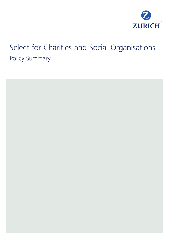

# Select for Charities and Social Organisations Policy Summary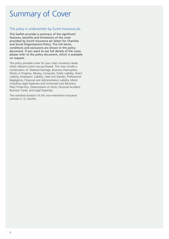# Summary of Cover

#### This policy is underwritten by Zurich Insurance plc.

This leaflet provides a summary of the significant features, benefits and limitations of the cover provided by Zurich Insurance plc Select for Charities and Social Organisations Policy. The full terms, conditions and exclusions are shown in the policy document. If you want to see full details of the cover, please refer to the policy document, which is available on request.

The policy provides cover for your main insurance needs when relevant covers are purchased. This may include a combination of: Material Damage, Business Interruption, Works in Progress, Money, Computer, Public Liability, Hirers' Liability, Employers' Liability, Libel and Slander, Professional Negligence, Financial and Administration Liability, Motor including Legal Expenses and Uninsured Loss Recovery, Plant Protection, Deterioration of Stock, Personal Accident, Business Travel, and Legal Expenses.

The standard duration of this non-investment insurance contract is 12 months.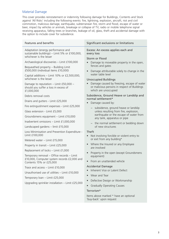## Material Damage<br>This cover provides r

This cover provides reinstatement or indemnity following damage for Buildings, Contents and Stock against 'All Risks' including the following events: fire, lightning, explosion, aircraft, riot and civil commotion, malicious damage, earthquake, subterranean fire, storm and flood, escape of water or beer, impact by vehicles or animals, breakage or collapse of TV, radio or mobile telephone signal receiving apparatus, falling trees or branches, leakage of oil, glass, theft and accidental damage with the option to include cover for subsidence.

| Features and benefits                                                                                                                                                                                                                                                                                                                                                                                                                                                                                                                                                                                                                                                                                                 | Significant exclusions or limitations                                                                                                                                                                                                                                                                                                                                                                                                                                                                                                                                                                                                                                                                                                                                   |
|-----------------------------------------------------------------------------------------------------------------------------------------------------------------------------------------------------------------------------------------------------------------------------------------------------------------------------------------------------------------------------------------------------------------------------------------------------------------------------------------------------------------------------------------------------------------------------------------------------------------------------------------------------------------------------------------------------------------------|-------------------------------------------------------------------------------------------------------------------------------------------------------------------------------------------------------------------------------------------------------------------------------------------------------------------------------------------------------------------------------------------------------------------------------------------------------------------------------------------------------------------------------------------------------------------------------------------------------------------------------------------------------------------------------------------------------------------------------------------------------------------------|
| Adaptation (energy performance and<br>sustainable buildings) - Limit 5% or £100,000,<br>whichever is the lesser                                                                                                                                                                                                                                                                                                                                                                                                                                                                                                                                                                                                       | Excess: An excess applies each and<br>every loss                                                                                                                                                                                                                                                                                                                                                                                                                                                                                                                                                                                                                                                                                                                        |
| Archaeological discoveries - Limit £100,000                                                                                                                                                                                                                                                                                                                                                                                                                                                                                                                                                                                                                                                                           | Damage to moveable property in the open,                                                                                                                                                                                                                                                                                                                                                                                                                                                                                                                                                                                                                                                                                                                                |
| Bequeathed property - Building Limit<br>£500,000 (individual items £10,000)<br>Capital additions - Limit 10% or £2,500,000,<br>whichever is the lesser<br>Damage to reputation - Limit £50,000 -<br>should you suffer a loss in excess of<br>£1,000,000<br>Debris removal costs<br>Drains and gutters - Limit £25,000<br>Fire extinguishment expenses - Limit £25,000<br>Glass extension - Limit £5,000<br>Groundsmens equipment - Limit £10,000<br>Inadvertent omissions - Limit £1,000,000<br>Landscaped gardens - limit £15,000<br>Loss Minimisation and Prevention Expenditure -<br>Limit £100,000<br>Metered water - Limit £15,000<br>Property in transit - Limit £25,000<br>Replacement of locks - Limit £1,000 | Storm or Flood<br>fences and gates<br>Damage attributable solely to change in the<br>water table level<br><b>Unoccupied Buildings</b><br>Damage caused by freezing, escape of water<br>or malicious persons in respect of Buildings<br>which are unoccupied<br>Subsidence, Ground Heave or Landslip and<br>normal settlement*<br>Damage caused by:<br>- subsidence, ground heave or landslip<br>unless resulting from fire, explosion,<br>earthquake or the escape of water from<br>any tank, apparatus or pipe<br>- the normal settlement or bedding down<br>of new structures<br>Theft<br>Not involving forcible or violent entry to<br>or exit from any building*<br>• Where the Insured or any Employee<br>are involved<br>Property in the open (except Groundsmens |
| Temporary removal - Office records - Limit<br>£10,000, Computer system records £2,000 and<br>Contents 15% or £25,000                                                                                                                                                                                                                                                                                                                                                                                                                                                                                                                                                                                                  | equipment)<br>From an unattended vehicle                                                                                                                                                                                                                                                                                                                                                                                                                                                                                                                                                                                                                                                                                                                                |
| Trace and access - Limit £10,000<br>Unauthorised use of utilities - Limit £10,000<br>Temporary loan - Limit £25,000<br>Upgrading sprinkler installation - Limit £25,000                                                                                                                                                                                                                                                                                                                                                                                                                                                                                                                                               | <b>Accidental Damage</b><br>Inherent Vice or Latent Defect<br>Wear and Tear<br>Defective Design or Workmanship<br><b>Gradually Operating Causes</b>                                                                                                                                                                                                                                                                                                                                                                                                                                                                                                                                                                                                                     |
|                                                                                                                                                                                                                                                                                                                                                                                                                                                                                                                                                                                                                                                                                                                       | Terrorism*                                                                                                                                                                                                                                                                                                                                                                                                                                                                                                                                                                                                                                                                                                                                                              |
|                                                                                                                                                                                                                                                                                                                                                                                                                                                                                                                                                                                                                                                                                                                       | Items above marked * have an optional<br>'buy-back' upon request                                                                                                                                                                                                                                                                                                                                                                                                                                                                                                                                                                                                                                                                                                        |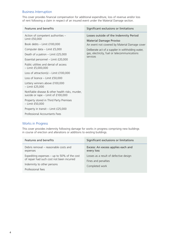### Business Interruption

This cover provides financial compensation for additional expenditure, loss of revenue and/or loss of rent following a claim in respect of an insured event under the Material Damage section.

| Features and benefits                                                                   | Significant exclusions or limitations                                    |
|-----------------------------------------------------------------------------------------|--------------------------------------------------------------------------|
| Action of competent authorities -<br>Limit £50,000                                      | Losses outside of the Indemnity Period<br><b>Material Damage Proviso</b> |
| Book debts - Limit £100,000                                                             | An event not covered by Material Damage cover                            |
| Computer data - Limit £5,000                                                            | Deliberate act of a supplier in withholding water,                       |
| Death of a patron - Limit £25,000                                                       | gas, electricity, fuel or telecommunications<br>services                 |
| Essential personnel - Limit £20,000                                                     |                                                                          |
| Public utilities and denial of access<br>$-$ Limit £5,000,000                           |                                                                          |
| Loss of attraction(s) – Limit $£100,000$                                                |                                                                          |
| Loss of licence - Limit £50,000                                                         |                                                                          |
| Lottery winners above £100,000<br>$-$ Limit £25,000                                     |                                                                          |
| Notifiable disease & other health risks, murder,<br>suicide or rape - Limit of £100,000 |                                                                          |
| Property stored in Third Party Premises<br>$-$ Limit £50,000                            |                                                                          |
| Property in transit - Limit £25,000                                                     |                                                                          |
| Professional Accountants Fees                                                           |                                                                          |

#### Works in Progress

This cover provides indemnity following damage for works in progress comprising new buildings in course of erection and alterations or additions to existing buildings.

| Features and benefits                                                                      | Significant exclusions or limitations                         |
|--------------------------------------------------------------------------------------------|---------------------------------------------------------------|
| Debris removal – reasonable costs and<br>expenses                                          | Excess: An excess applies each and<br>every loss              |
| Expediting expenses $-$ up to 50% of the cost<br>of repair had such cost not been incurred | Losses as a result of defective design<br>Fines and penalties |
| Indemnity to other persons                                                                 | Completed work                                                |
| Professional fees                                                                          |                                                               |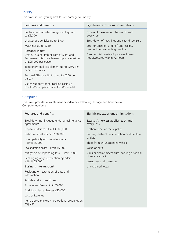## Money

This cover insures you against loss or damage to 'money'.

| Features and benefits                                                                                            | Significant exclusions or limitations                                       |
|------------------------------------------------------------------------------------------------------------------|-----------------------------------------------------------------------------|
| Replacement of safe/strongroom keys up<br>to £5,000                                                              | Excess: An excess applies each and<br>every loss                            |
| Unattended vehicles up to £100                                                                                   | Breakdown of machines and cash dispensers                                   |
| Machines up to £250                                                                                              | Error or omission arising from receipts,<br>payments or accounting practice |
| Personal Injury                                                                                                  |                                                                             |
| Death, Loss of Limb or Loss of Sight and<br>Permanent total disablement up to a maximum<br>of £25,000 per person | Fraud or dishonesty of your employees<br>not discovered within 72 hours.    |
| Temporary total disablement up to £250 per<br>person per week                                                    |                                                                             |
| Personal Effects – Limit of up to £500 per<br>person                                                             |                                                                             |
| Victim support for counselling costs up<br>to £1,000 per person and £5,000 in total                              |                                                                             |

## Computer

This cover provides reinstatement or indemnity following damage and breakdown to Computer equipment.

| Features and benefits                                                                                     | Significant exclusions or limitations                              |
|-----------------------------------------------------------------------------------------------------------|--------------------------------------------------------------------|
| Breakdown not included under a maintenance<br>agreement*                                                  | Excess: An excess applies each and<br>every loss                   |
| Capital additions - Limit £500,000                                                                        | Deliberate act of the supplier                                     |
| Debris removal - Limit £100,000                                                                           | Erasure, destruction, corruption or distortion<br>of data          |
| Incompatibility of computer media                                                                         |                                                                    |
| $-$ Limit $£5,000$                                                                                        | Theft from an unattended vehicle                                   |
| Investigation costs - Limit £5,000                                                                        | Value of data                                                      |
| Mitigation of impending loss - Limit £5,000<br>Recharging of gas protection cylinders<br>$-$ Limit £5,000 | Virus or similar mechanism, hacking or denial<br>of service attack |
|                                                                                                           |                                                                    |
|                                                                                                           | Business Interruption*                                             |
| Replacing or restoration of data and<br>information                                                       |                                                                    |
| Additional expenditure                                                                                    |                                                                    |
| Accountant Fees - Limit £5,000                                                                            |                                                                    |
| Additional lease charges £25,000                                                                          |                                                                    |
| Loss of Revenue                                                                                           |                                                                    |
| Items above marked * are optional covers upon<br>request                                                  |                                                                    |
|                                                                                                           |                                                                    |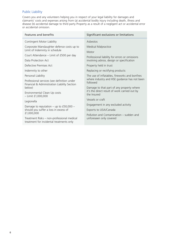## Public Liability

Covers you and any volunteers helping you in respect of your legal liability for damages and claimants' costs and expenses arising from (a) accidental bodily injury including death, illness and disease (b) accidental damage to third party Property as a result of a negligent act or accidental error or accidental omission.

| Features and benefits                                                                       | Significant exclusions or limitations                                                                      |
|---------------------------------------------------------------------------------------------|------------------------------------------------------------------------------------------------------------|
| Contingent Motor Liability                                                                  | Asbestos                                                                                                   |
| Corporate Manslaughter defence costs up to                                                  | <b>Medical Malpractice</b>                                                                                 |
| Limit of Indemnity in schedule                                                              | Motor                                                                                                      |
| Court Attendance - Limit of £500 per day                                                    | Professional liability for errors or omissions<br>involving advice, design or specification                |
| Data Protection Act                                                                         |                                                                                                            |
| Defective Premises Act                                                                      | Property held in trust                                                                                     |
| Indemnity to other                                                                          | Replacing or rectifying products                                                                           |
| Personal Liability                                                                          | The use of inflatables, fireworks and bonfires<br>where industry and HSE guidance has not been<br>followed |
| Professional services (see definition under<br>Financial & Administration Liability Section |                                                                                                            |
| below)                                                                                      | Damage to that part of any property where                                                                  |
| Environmental Clean Up costs<br>$-$ Limit £1,000,000                                        | it's the direct result of work carried out by<br>the Insured                                               |
| Legionella                                                                                  | Vessels or craft                                                                                           |
| Damage to reputation – up to $£50,000 -$                                                    | Engagement in any excluded activity                                                                        |
| should you suffer a loss in excess of                                                       | Exports to USA/Canada                                                                                      |
| £1,000,000                                                                                  | Pollution and Contamination – sudden and                                                                   |
| Treatment Risks - non-professional medical<br>treatment for incidental treatments only      | unforeseen only covered                                                                                    |
|                                                                                             |                                                                                                            |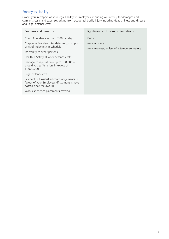## Employers Liability

Covers you in respect of your legal liability to Employees (including volunteers) for damages and claimants costs and expenses arising from accidental bodily injury including death, illness and disease and Legal defence costs.

| Features and benefits                                                                                                 | Significant exclusions or limitations       |
|-----------------------------------------------------------------------------------------------------------------------|---------------------------------------------|
| Court Attendance - Limit £500 per day                                                                                 | Motor                                       |
| Corporate Manslaughter defence costs up to                                                                            | Work offshore                               |
| Limit of Indemnity in schedule                                                                                        | Work overseas, unless of a temporary nature |
| Indemnity to other persons                                                                                            |                                             |
| Health & Safety at work defence costs                                                                                 |                                             |
| Damage to reputation – up to $£50,000 -$<br>should you suffer a loss in excess of<br>£1,000,000                       |                                             |
| Legal defence costs                                                                                                   |                                             |
| Payment of Unsatisfied court judgements in<br>favour of your Employees (if six months have<br>passed since the award) |                                             |
| Work experience placements covered                                                                                    |                                             |
|                                                                                                                       |                                             |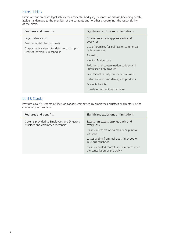### Hirers Liability

Hirers of your premises legal liability for accidental bodily injury, illness or disease (including death), accidental damage to the premises or the contents and to other property not the responsibility of the hirers.

| Features and benefits                                                                                                               | Significant exclusions or limitations                                                                                                                                                                                                                                                                                                                                             |
|-------------------------------------------------------------------------------------------------------------------------------------|-----------------------------------------------------------------------------------------------------------------------------------------------------------------------------------------------------------------------------------------------------------------------------------------------------------------------------------------------------------------------------------|
| Legal defence costs<br>Environmental clean up costs<br>Corporate Manslaughter defence costs up to<br>Limit of Indemnity in schedule | Excess: an excess applies each and<br>every loss<br>Use of premises for political or commercial<br>or business use<br>Asbestos<br><b>Medical Malpractice</b><br>Pollution and contamination sudden and<br>unforeseen only covered<br>Professional liability, errors or omissions<br>Defective work and damage to products<br>Products liability<br>Liquidated or punitive damages |

#### Libel & Slander

Provides cover in respect of libels or slanders committed by employees, trustees or directors in the course of your business.

| Features and benefits                                                            | Significant exclusions or limitations                                       |
|----------------------------------------------------------------------------------|-----------------------------------------------------------------------------|
| Cover is provided to Employees and Directors<br>(trustees and committee members) | Excess: an excess applies each and<br>every loss                            |
|                                                                                  | Claims in respect of exemplary or punitive<br>damages                       |
|                                                                                  | Losses arising from malicious falsehood or<br>injurious falsehood           |
|                                                                                  | Claims reported more than 12 months after<br>the cancellation of the policy |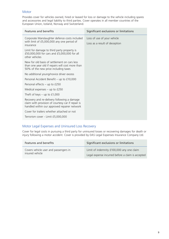#### **Motor**

Provides cover for vehicles owned, hired or leased for loss or damage to the vehicle including spares and accessories and legal liability to third parties. Cover operates in all member countries of the European Union, Iceland, Norway and Switzerland.

| Features and benefits                                                                                                                            | Significant exclusions or limitations                        |
|--------------------------------------------------------------------------------------------------------------------------------------------------|--------------------------------------------------------------|
| Corporate Manslaughter defence costs included<br>with limit of £5,000,000 any one period of                                                      | Loss of use of your vehicle<br>Loss as a result of deception |
| insurance                                                                                                                                        |                                                              |
| Limit for damage to third party property is<br>£50,000,000 for cars and £5,000,000 for all<br>other vehicles                                     |                                                              |
| New for old basis of settlement on cars less<br>than one year old if repairs will cost more than<br>50% of the new price including taxes         |                                                              |
| No additional young/novice driver excess                                                                                                         |                                                              |
| Personal Accident Benefit - up to £10,000                                                                                                        |                                                              |
| Personal effects $-$ up to £250                                                                                                                  |                                                              |
| Medical expenses $-$ up to £250                                                                                                                  |                                                              |
| Theft of keys $-$ up to £1,000                                                                                                                   |                                                              |
| Recovery and re-delivery following a damage<br>claim with provision of courtesy car if repair is<br>handled within our approved repairer network |                                                              |
| Cover for trailers whether attached or not                                                                                                       |                                                              |
| Terrorism cover - Limit £5,000,000                                                                                                               |                                                              |
|                                                                                                                                                  |                                                              |

#### Motor Legal Expenses and Uninsured Loss Recovery

Cover for legal costs in pursuing a third party for uninsured losses or recovering damages for death or injury following a motor accident. Cover is provided by DAS Legal Expenses Insurance Company Ltd.

| Features and benefits                 | Significant exclusions or limitations             |
|---------------------------------------|---------------------------------------------------|
| Covers vehicle user and passengers in | Limit of indemnity £100,000 any one claim         |
| insured vehicle                       | Legal expense incurred before a claim is accepted |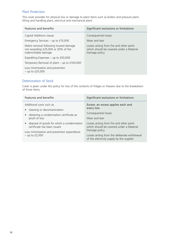#### Plant Protection

This cover provides for physical loss or damage to plant items such as boilers and pressure plant, lifting and handling plant, electrical and mechanical plant.

| Features and benefits                                                                                  | Significant exclusions or limitations                                                                  |
|--------------------------------------------------------------------------------------------------------|--------------------------------------------------------------------------------------------------------|
| Capital Additions clause                                                                               | Consequential losses                                                                                   |
| Emergency Services – up to $£15,000$                                                                   | Wear and tear                                                                                          |
| Debris removal following insured damage<br>not exceeding £25,000 or 20% of the<br>indemnifiable damage | Losses arising from fire and other perils<br>which should be covered under a Material<br>Damage policy |
| Expediting Expenses $-$ up to £50,000                                                                  |                                                                                                        |
| Temporary Removal of plant $-$ up to £100,000                                                          |                                                                                                        |
| Loss minimisation and prevention<br>$-$ up to £25,000                                                  |                                                                                                        |

### Deterioration of Stock

Cover is given under this policy for loss of the contents of fridges or freezers due to the breakdown of those items.

| Features and benefits                                            | Significant exclusions or limitations                                                                       |
|------------------------------------------------------------------|-------------------------------------------------------------------------------------------------------------|
| Additional costs such as:                                        | Excess: an excess applies each and                                                                          |
| • cleaning or decontamination                                    | every loss                                                                                                  |
| • obtaining a condemnation certificate as                        | Consequential losses                                                                                        |
| proof of loss                                                    | Wear and tear                                                                                               |
| • disposal of goods for which a condemnation                     | Losses arising from fire and other perils                                                                   |
| certificate has been issued                                      | which should be covered under a Material                                                                    |
| Loss minimisation and prevention expenditure<br>- up to $£2,500$ | Damage policy<br>Losses arising from the deliberate withdrawal<br>of the electricity supply by the supplier |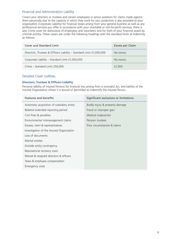#### Financial and Administration Liability

Covers your directors or trustees and certain employees in senior positions for claims made against them personally due to the capacity in which they work for you; protection is also provided to your organisation (Corporate Liability) for financial losses arising from your general business as well as any professional services you offer in accordance with your charitable or not-for-profit services; there is also Crime cover for dishonesty of employees and volunteers and for theft of your financial assets by criminal activity. These covers are under the following headings with the standard limits of indemnity as follows:

| Cover and Standard Limit                                             | Excess per Claim |
|----------------------------------------------------------------------|------------------|
| Directors, Trustees & Officers Liability - Standard Limit £1,000,000 | No excess        |
| Corporate Liability - Standard Limit £1,000,000                      | No excess        |
| Crime - Standard Limit £50,000                                       | £1,000           |

#### Detailed Cover outlines

#### **Directors, Trustees & Officers Liability**

Personal liability of Insured Persons for financial loss arising from a wrongful act, and liability of the Insured Organisation where it is bound or permitted to indemnify the Insured Person.

| Features and benefits                      | Significant exclusions or limitations |
|--------------------------------------------|---------------------------------------|
| Automatic acquisition of subsidiary entity | Bodily injury & property damage       |
| Bilateral extended reporting period        | Fraud or improper gain                |
| Civil fines & penalties                    | Medical malpractice                   |
| Environmental mismanagement claims         | Pension trustees                      |
| Estates, heirs & representatives           | Prior circumstances & claims          |
| Investigation of the Insured Organisation  |                                       |
| Loss of documents                          |                                       |
| Marital estates                            |                                       |
| Outside entity contingency                 |                                       |
| Reputational recovery costs                |                                       |
| Retired & resigned directors & officers    |                                       |
| Taxes & employee compensation              |                                       |
| Emergency costs                            |                                       |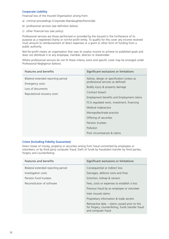#### **Corporate Liability**

Financial loss of the Insured Organisation arising from:

- a) criminal proceedings (Corporate Manslaughter/Homicide)
- b) professional services (see definition below)
- c) other financial loss (see policy)

Professional services are those performed or provided by the Insured in the furtherance of its purpose as a registered charity or not-for-profit entity. To qualify for this cover any income received must amount to reimbursement of direct expenses or a grant or other form of funding from a public authority.

Not-for-profit means an organisation that uses its surplus income to achieve its published goals and does not distribute it to any employee, member, director or shareholder.

Where professional services do not fit these criteria, extra and specific cover may be arranged under Professional Negligence (below).

| Features and benefits                                  | Significant exclusions or limitations                                           |
|--------------------------------------------------------|---------------------------------------------------------------------------------|
| Bilateral extended reporting period<br>Emergency costs | Advice, design or specification (unless as<br>professional services as defined) |
| Loss of documents                                      | Bodily injury & property damage                                                 |
| Reputational recovery costs                            | Contract breach                                                                 |
|                                                        | Employment benefits and Employment claims                                       |
|                                                        | FCA regulated work, investment, financing                                       |
|                                                        | Medical malpractice                                                             |
|                                                        | Monopolies/trade practice                                                       |
|                                                        | Offering of securities                                                          |
|                                                        | Pension trustees                                                                |
|                                                        | Pollution                                                                       |
|                                                        | Prior circumstances & claims                                                    |

#### **Crime (including Fidelity Guarantee)**

Direct losses of money, property or securities arising from fraud committed by employees or volunteers, or by third party computer fraud; theft of funds by fraudulent transfer by third parties, forgery and counterfeiting.

| Features and benefits               | Significant exclusions or limitations                                                                                       |
|-------------------------------------|-----------------------------------------------------------------------------------------------------------------------------|
| Bilateral extended reporting period | Consequential or indirect loss                                                                                              |
| Investigation costs                 | Damages, defence costs and fines                                                                                            |
| Pension Fund trustees               | Extortion, kidnap & ransom                                                                                                  |
| Reconstitution of software          | Fees, costs or expenses to establish a loss                                                                                 |
|                                     | Previous fraud by an employee or volunteer                                                                                  |
|                                     | Inter insured claims                                                                                                        |
|                                     | Proprietary information & trade secrets                                                                                     |
|                                     | Retroactive date $-$ claims caused prior to this<br>for forgery, counterfeiting, funds transfer fraud<br>and computer fraud |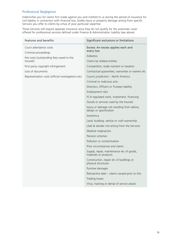### Professional Negligence

Indemnifies you for claims first made against you and notified to us during the period of insurance for civil liability in connection with financial loss, bodily injury or property damage arising from specific Services you offer to clients by virtue of your particular expertise.

These Services will require separate insurance since they do not qualify for the automatic cover offered for professional services defined under Finance & Administration Liability (see above).

| <b>Features and benefits</b>                        | Significant exclusions or limitations                                  |
|-----------------------------------------------------|------------------------------------------------------------------------|
| Court attendance costs                              | Excess: An excess applies each and<br>every loss                       |
| Criminal proceedings                                | Asbestos                                                               |
| Fee costs (outstanding fees owed to the<br>Insured) | Claims by related entities                                             |
| First party copyright infringement                  | Competition, trade restraint or taxation                               |
| Loss of documents                                   | Contractual quarantees, warranties or waivers etc                      |
| Representation costs (official investigations etc)  | Courts jurisdiction - North America                                    |
|                                                     | Criminal or malicious acts                                             |
|                                                     | Directors, Officers or Trustees liability                              |
|                                                     | Employment risks                                                       |
|                                                     | FCA regulated work, investment, financing                              |
|                                                     | Goods or services used by the Insured                                  |
|                                                     | Injury or damage not resulting from advice,<br>design or specification |
|                                                     | Insolvency                                                             |
|                                                     | Land, building, vehicle or craft ownership                             |
|                                                     | Libel & slander not arising from the Services                          |
|                                                     | Medical malpractice                                                    |
|                                                     | Pension schemes                                                        |
|                                                     | Pollution or contamination                                             |
|                                                     | Prior circumstances and claims                                         |
|                                                     | Supply, repair, maintenance etc of goods,<br>materials or products     |
|                                                     | Construction, repair etc of buildings or<br>physical structures        |
|                                                     | Punitive damages                                                       |
|                                                     | Retroactive date - claims caused prior to this                         |
|                                                     | <b>Trading losses</b>                                                  |
|                                                     | Virus, hacking or denial of service attack                             |
|                                                     |                                                                        |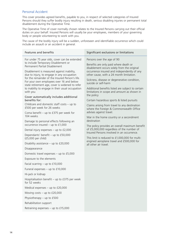#### Personal Accident

This cover provides agreed benefits, payable to you, in respect of selected categories of Insured Persons should they suffer bodily injury resulting in death, serious disabling injuries or permanent total disablement during the Operative Time.

The Operative Time of cover normally chosen relates to the Insured Persons carrying out their official duties on your behalf. Insured Persons will usually be your employees, members of your governing body or people volunteering to work with you.

The cause of the bodily injury will be a sudden, unforeseen and identifiable occurrence which could include an assault or an accident in general.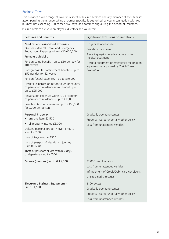#### Business Travel

This provides a wide range of cover in respect of Insured Persons and any member of their families accompanying them, undertaking a journey specifically authorised by you in connection with your business not exceeding 180 consecutive days, and commencing during the period of insurance.

Insured Persons are your employees, directors and volunteers.

| <b>Features and benefits</b>                                                                                                                                                                                                                                                                                                                                                                                                                                                                                                                                                                                       | Significant exclusions or limitations                                                                                                                                                                                  |
|--------------------------------------------------------------------------------------------------------------------------------------------------------------------------------------------------------------------------------------------------------------------------------------------------------------------------------------------------------------------------------------------------------------------------------------------------------------------------------------------------------------------------------------------------------------------------------------------------------------------|------------------------------------------------------------------------------------------------------------------------------------------------------------------------------------------------------------------------|
| Medical and associated expenses<br>Overseas Medical, Travel and Emergency<br>Repatriation Expenses - Limit £10,000,000<br>Premature childbirth<br>Foreign coma benefit $-$ up to £50 per day for<br>104 weeks<br>Foreign hospital confinement benefit $-$ up to<br>£50 per day for 52 weeks<br>Foreign funeral expenses $-$ up to £10,000<br>Hospital expenses on return to UK or country<br>of permanent residence (max 3 months) -<br>up to £25,000<br>Repatriation expenses within UK or country<br>of permanent residence - up to £10,000<br>Search & Rescue Expenses - up to £100,000<br>(£50,000 per person) | Drug or alcohol abuse<br>Suicide or self-harm<br>Travelling against medical advice or for<br>medical treatment<br>Hospital treatment or emergency repatriation<br>expenses not approved by Zurich Travel<br>Assistance |
| Personal Property<br>any one item £2,500<br>all property insured £5,000<br>$\bullet$<br>Delayed personal property (over 4 hours)<br>$-$ up to $£500$<br>Loss of keys $-$ up to £500<br>Loss of passport & visa during journey<br>$-$ up to £750<br>Theft of passport or visa within 7 days<br>of departure $-$ up to £500                                                                                                                                                                                                                                                                                          | Gradually operating causes<br>Property insured under any other policy<br>Loss from unattended vehicles                                                                                                                 |
| Money (personal) - Limit £5,000                                                                                                                                                                                                                                                                                                                                                                                                                                                                                                                                                                                    | £1,000 cash limitation<br>Loss from unattended vehicles<br>Infringement of Credit/Debit card conditions<br>Unexplained shortages                                                                                       |
| Electronic Business Equipment -<br>Limit £1,500                                                                                                                                                                                                                                                                                                                                                                                                                                                                                                                                                                    | £100 excess<br>Gradually operating causes<br>Property insured under any other policy<br>Loss from unattended vehicles                                                                                                  |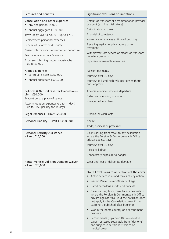| <b>Features and benefits</b>                                               | Significant exclusions or limitations                                                                                                                                                                                             |
|----------------------------------------------------------------------------|-----------------------------------------------------------------------------------------------------------------------------------------------------------------------------------------------------------------------------------|
| Cancellation and other expenses<br>any one person £5,000                   | Default of transport or accommodation provider<br>or agent (e.g. financial failure)                                                                                                                                               |
| annual aggregate £100,000                                                  | Disinclination to travel                                                                                                                                                                                                          |
| Travel delay (over 4 hours) – up to $£750$                                 | Financial circumstances                                                                                                                                                                                                           |
| Replacement personnel expenses                                             | Known circumstances at time of booking                                                                                                                                                                                            |
| Funeral of Relative or Associate                                           | Travelling against medical advice or for                                                                                                                                                                                          |
| Missed international connection or departure                               | treatment                                                                                                                                                                                                                         |
| Promotional vouchers & awards                                              | Withdrawal from service of means of transport<br>on safety grounds                                                                                                                                                                |
| Expenses following natural catastrophe<br>$-$ up to $£3,000$               | Expenses recoverable elsewhere                                                                                                                                                                                                    |
| <b>Kidnap Expenses</b>                                                     | Ransom payments                                                                                                                                                                                                                   |
| consultants costs £250,000                                                 | Journeys over 30 days                                                                                                                                                                                                             |
| annual aggregate £500,000                                                  | Journeys to listed high risk locations without<br>prior approval                                                                                                                                                                  |
| Political & Natural Disaster Evacuation -                                  | Adverse conditions before departure                                                                                                                                                                                               |
| Limit £50,000                                                              | Defective or missing documents                                                                                                                                                                                                    |
| Evacuation to a place of safety                                            | Violation of local laws                                                                                                                                                                                                           |
| Accommodation expenses (up to 14 days)<br>- up to £150 per day for 14 days |                                                                                                                                                                                                                                   |
| Legal Expenses - Limit £25,000                                             | Criminal or wilful acts                                                                                                                                                                                                           |
| Personal Liability - Limit £2,000,000                                      | Advice                                                                                                                                                                                                                            |
|                                                                            | Trade, business or profession                                                                                                                                                                                                     |
| <b>Personal Security Assistance</b><br>- Limit £10,000                     | Claims arising from travel to any destination<br>where the Foreign & Commonwealth Office<br>advises against travel                                                                                                                |
|                                                                            | Journeys over 30 days                                                                                                                                                                                                             |
|                                                                            | Hijack or kidnap                                                                                                                                                                                                                  |
|                                                                            | Unnecessary exposure to danger                                                                                                                                                                                                    |
| Rental Vehicle Collision Damage Waiver<br>- Limit £25,000                  | Wear and tear or deliberate damage                                                                                                                                                                                                |
|                                                                            | Overall exclusions to all sections of the cover<br>Active service in armed forces of any nation                                                                                                                                   |
|                                                                            | Insured Persons over 80 years of age                                                                                                                                                                                              |
|                                                                            | Listed hazardous sports and pursuits                                                                                                                                                                                              |
|                                                                            | • Claims arising from travel to any destination<br>where the Foreign & Commonwealth Office<br>advises against travel (but the exclusion does<br>not apply to the Cancellation cover if the<br>warning is published after booking) |
|                                                                            | War in the home country or a secondment<br>destination                                                                                                                                                                            |
|                                                                            | Secondments (trips over 180 consecutive<br>days) - assessed separately from "day one"<br>and subject to certain restrictions on<br>medical cover                                                                                  |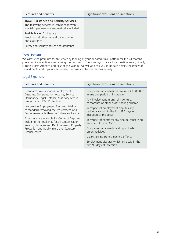| Features and benefits                                                                                                                           | Significant exclusions or limitations |
|-------------------------------------------------------------------------------------------------------------------------------------------------|---------------------------------------|
| <b>Travel Assistance and Security Services</b><br>The following services in conjunction with<br>specialist partners are automatically included: |                                       |
| Zurich Travel Assistance<br>Medical and other general travel advice<br>and assistance                                                           |                                       |
| Safety and security advice and assistance                                                                                                       |                                       |

#### **Travel Pattern**

We assess the premium for this cover by looking at your declared travel pattern for the 24 months preceding its inception summarising the number of "person-days" for each destination area (UK only, Europe, North America and Rest of the World). We will also ask you to declare details separately of secondments and trips whose primary purpose involves hazardous activity.

#### Legal Expenses

| Features and benefits                                                                                                                           | Significant exclusions or limitations                                                                      |
|-------------------------------------------------------------------------------------------------------------------------------------------------|------------------------------------------------------------------------------------------------------------|
| 'Standard' cover includes Employment<br>Disputes, Compensation Awards, Service                                                                  | Compensation awards maximum is £1,000,000<br>in any one period of insurance                                |
| Occupancy, Legal Defence, Statutory license<br>protection and Tax Protection                                                                    | Any involvement in any joint venture,<br>consortium or other profit sharing scheme                         |
| We provide Employment Practices Liability<br>as standard removing the requirement of a<br>"more reasonable than not" chance of success          | In respect of employment disputes any<br>redundancy within the first 180 days of<br>inception of the cover |
| Extensions are available for Contract Disputes<br>including the total limit for all compensation<br>awards, damages and Debt Recovery, Property | In respect of contracts any dispute concerning<br>an amount under £500                                     |
| Protection and Bodily Injury and Statutory<br>Licence cover                                                                                     | Compensation awards relating to trade<br>union activities                                                  |
|                                                                                                                                                 | Claims arising from a parking offence                                                                      |
|                                                                                                                                                 | Employment disputes which arise within the<br>first 90 days of inception                                   |
|                                                                                                                                                 |                                                                                                            |